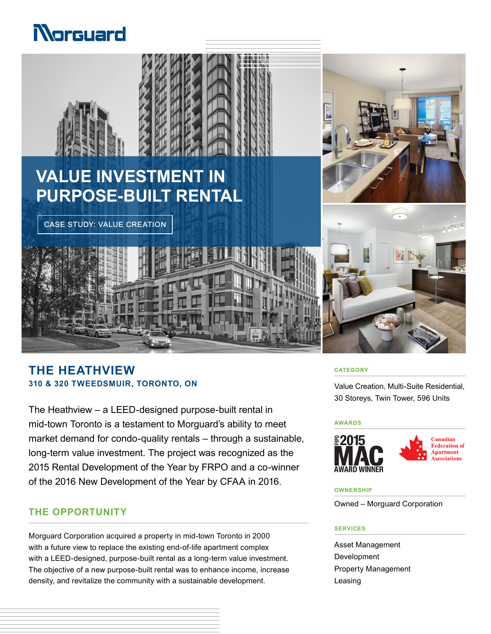# Norguard



# **THE HEATHVIEW 310 & 320 TWEEDSMUIR, TORONTO, ON**

The Heathview – a LEED-designed purpose-built rental in mid-town Toronto is a testament to Morguard's ability to meet market demand for condo-quality rentals – through a sustainable, long-term value investment. The project was recognized as the 2015 Rental Development of the Year by FRPO and a co-winner of the 2016 New Development of the Year by CFAA in 2016.

## **THE OPPORTUNITY**

Morguard Corporation acquired a property in mid-town Toronto in 2000 with a future view to replace the existing end-of-life apartment complex with a LEED-designed, purpose-built rental as a long-term value investment. The objective of a new purpose-built rental was to enhance income, increase density, and revitalize the community with a sustainable development.

#### **CATEGORY**

Value Creation, Multi-Suite Residential, 30 Storeys, Twin Tower, 596 Units

#### **AWARDS**



#### **OWNERSHIP**

Owned – Morguard Corporation

#### **SERVICES**

Asset Management Development Property Management Leasing